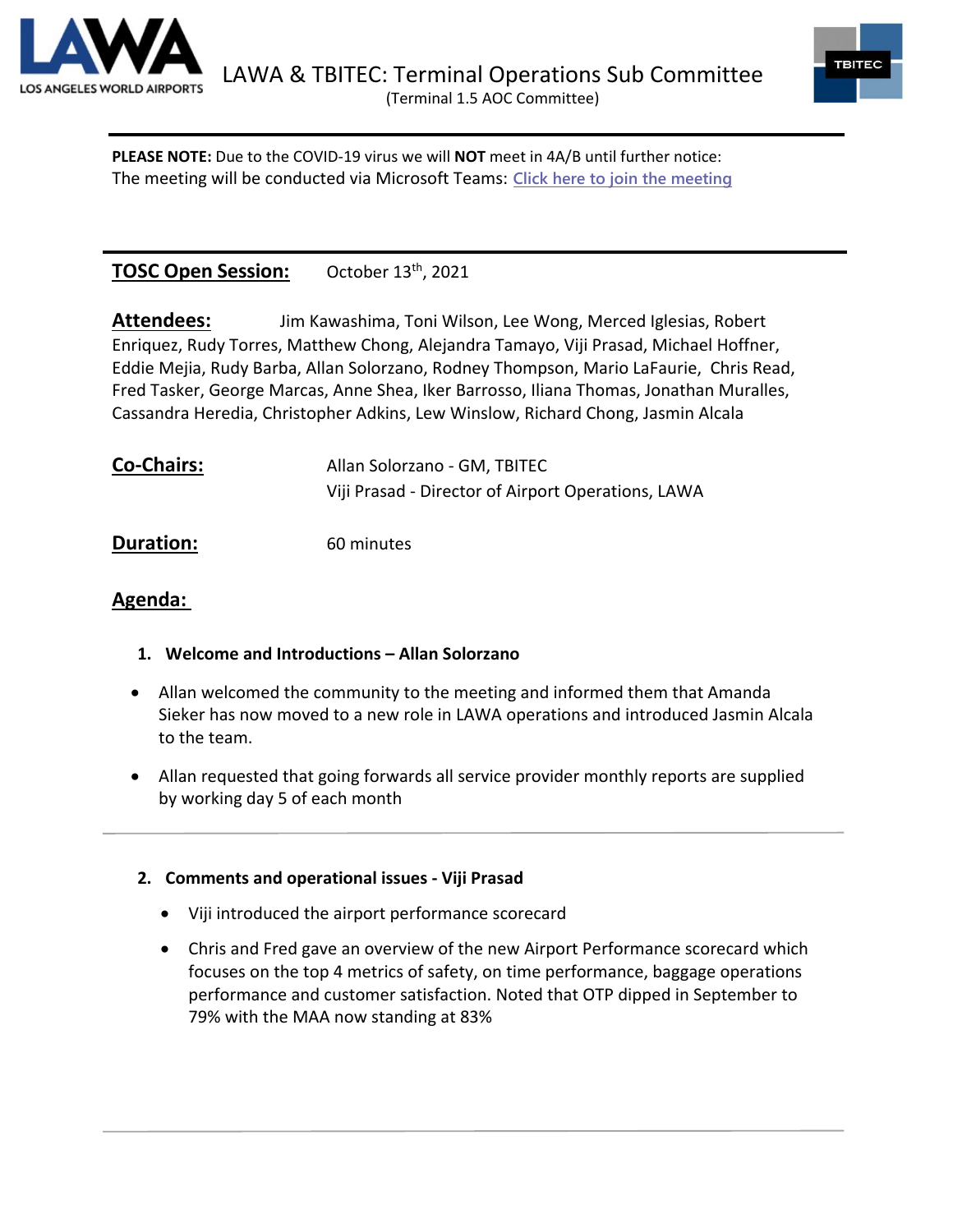



**PLEASE NOTE:** Due to the COVID-19 virus we will **NOT** meet in 4A/B until further notice: The meeting will be conducted via Microsoft Teams: **[Click here to join the meeting](https://teams.microsoft.com/l/meetup-join/19%3ameeting_NmFjZmZhNTItN2ZiNy00NTliLThjN2YtODQ0ODU2NGIzOGNl%40thread.v2/0?context=%7b%22Tid%22%3a%22f0c22c7a-2b92-43e3-8f59-528927e9f438%22%2c%22Oid%22%3a%2296de0e66-65ac-4890-a178-20f8d991a0f0%22%7d)**

# **TOSC Open Session:** October 13th, 2021

**Attendees:** Jim Kawashima, Toni Wilson, Lee Wong, Merced Iglesias, Robert Enriquez, Rudy Torres, Matthew Chong, Alejandra Tamayo, Viji Prasad, Michael Hoffner, Eddie Mejia, Rudy Barba, Allan Solorzano, Rodney Thompson, Mario LaFaurie, Chris Read, Fred Tasker, George Marcas, Anne Shea, Iker Barrosso, Iliana Thomas, Jonathan Muralles, Cassandra Heredia, Christopher Adkins, Lew Winslow, Richard Chong, Jasmin Alcala

| <b>Co-Chairs:</b> | Allan Solorzano - GM, TBITEC                       |
|-------------------|----------------------------------------------------|
|                   | Viji Prasad - Director of Airport Operations, LAWA |

## **Duration:** 60 minutes

# **Agenda:**

- **1. Welcome and Introductions – Allan Solorzano**
- Allan welcomed the community to the meeting and informed them that Amanda Sieker has now moved to a new role in LAWA operations and introduced Jasmin Alcala to the team.
- Allan requested that going forwards all service provider monthly reports are supplied by working day 5 of each month

#### **2. Comments and operational issues - Viji Prasad**

- Viji introduced the airport performance scorecard
- Chris and Fred gave an overview of the new Airport Performance scorecard which focuses on the top 4 metrics of safety, on time performance, baggage operations performance and customer satisfaction. Noted that OTP dipped in September to 79% with the MAA now standing at 83%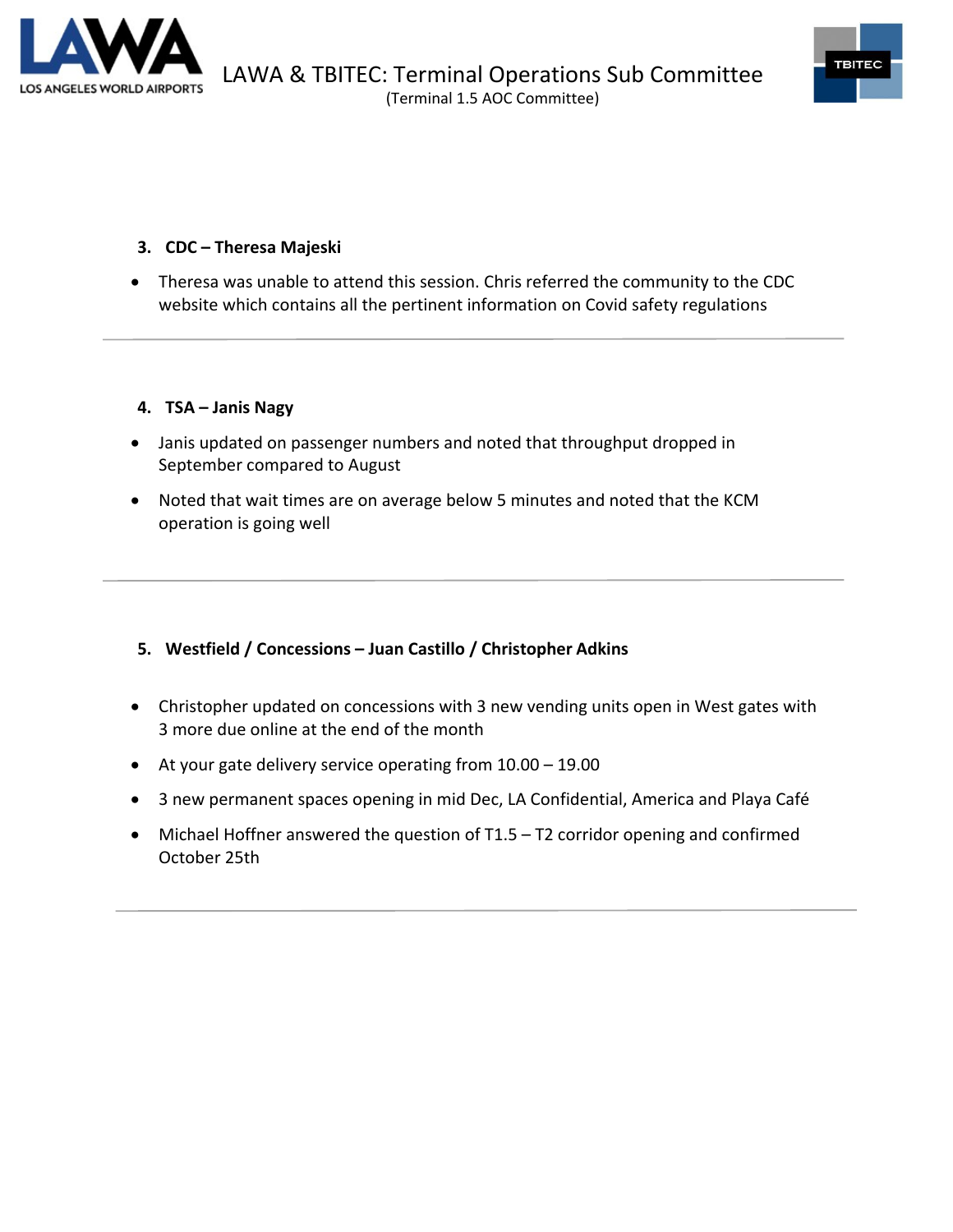



## **3. CDC – Theresa Majeski**

• Theresa was unable to attend this session. Chris referred the community to the CDC website which contains all the pertinent information on Covid safety regulations

## **4. TSA – Janis Nagy**

- Janis updated on passenger numbers and noted that throughput dropped in September compared to August
- Noted that wait times are on average below 5 minutes and noted that the KCM operation is going well

## **5. Westfield / Concessions – Juan Castillo / Christopher Adkins**

- Christopher updated on concessions with 3 new vending units open in West gates with 3 more due online at the end of the month
- At your gate delivery service operating from 10.00 19.00
- 3 new permanent spaces opening in mid Dec, LA Confidential, America and Playa Café
- Michael Hoffner answered the question of T1.5 T2 corridor opening and confirmed October 25th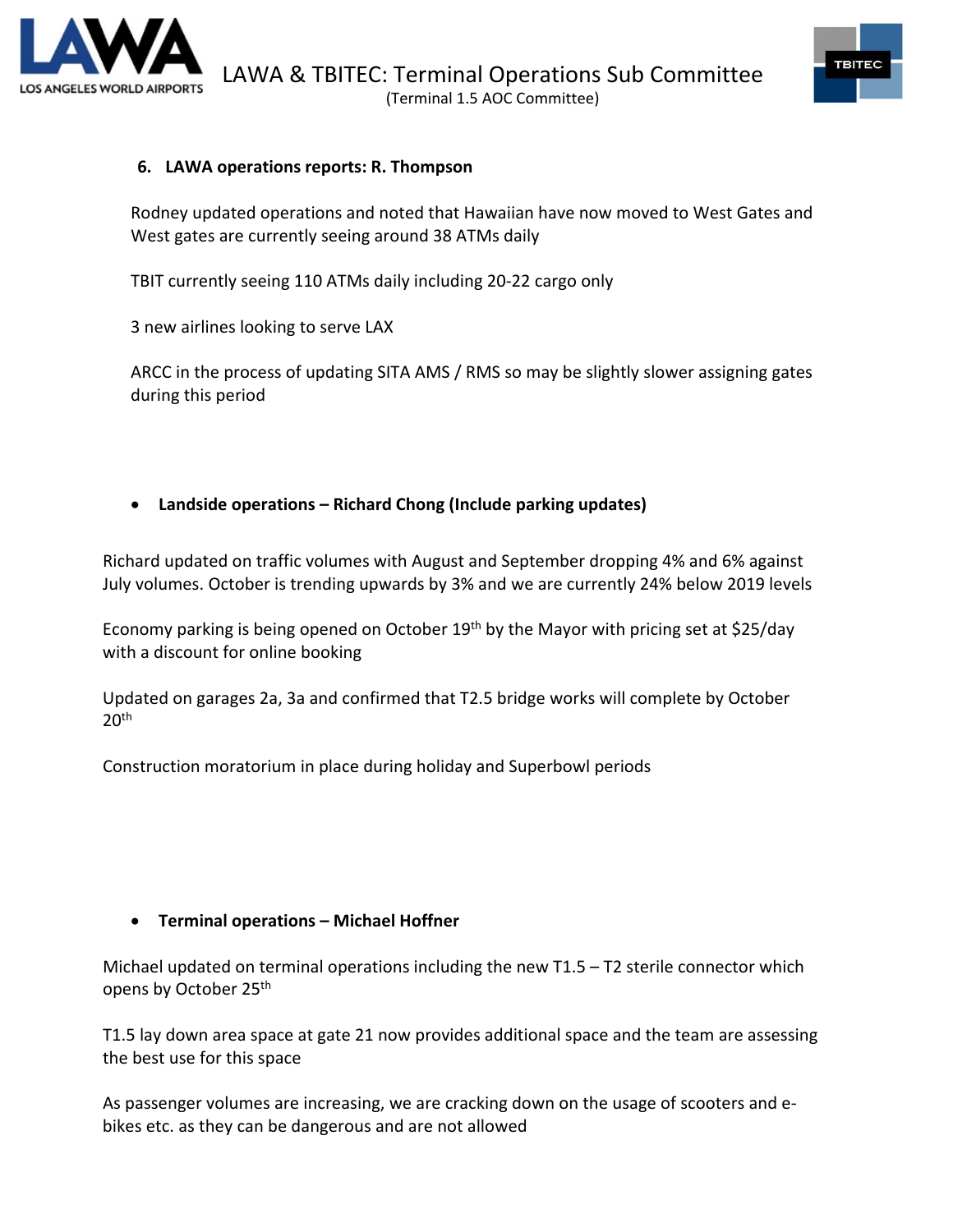



## **6. LAWA operations reports: R. Thompson**

Rodney updated operations and noted that Hawaiian have now moved to West Gates and West gates are currently seeing around 38 ATMs daily

TBIT currently seeing 110 ATMs daily including 20-22 cargo only

3 new airlines looking to serve LAX

ARCC in the process of updating SITA AMS / RMS so may be slightly slower assigning gates during this period

## • **Landside operations – Richard Chong (Include parking updates)**

Richard updated on traffic volumes with August and September dropping 4% and 6% against July volumes. October is trending upwards by 3% and we are currently 24% below 2019 levels

Economy parking is being opened on October  $19<sup>th</sup>$  by the Mayor with pricing set at \$25/day with a discount for online booking

Updated on garages 2a, 3a and confirmed that T2.5 bridge works will complete by October  $20<sup>th</sup>$ 

Construction moratorium in place during holiday and Superbowl periods

## • **Terminal operations – Michael Hoffner**

Michael updated on terminal operations including the new T1.5 – T2 sterile connector which opens by October 25th

T1.5 lay down area space at gate 21 now provides additional space and the team are assessing the best use for this space

As passenger volumes are increasing, we are cracking down on the usage of scooters and ebikes etc. as they can be dangerous and are not allowed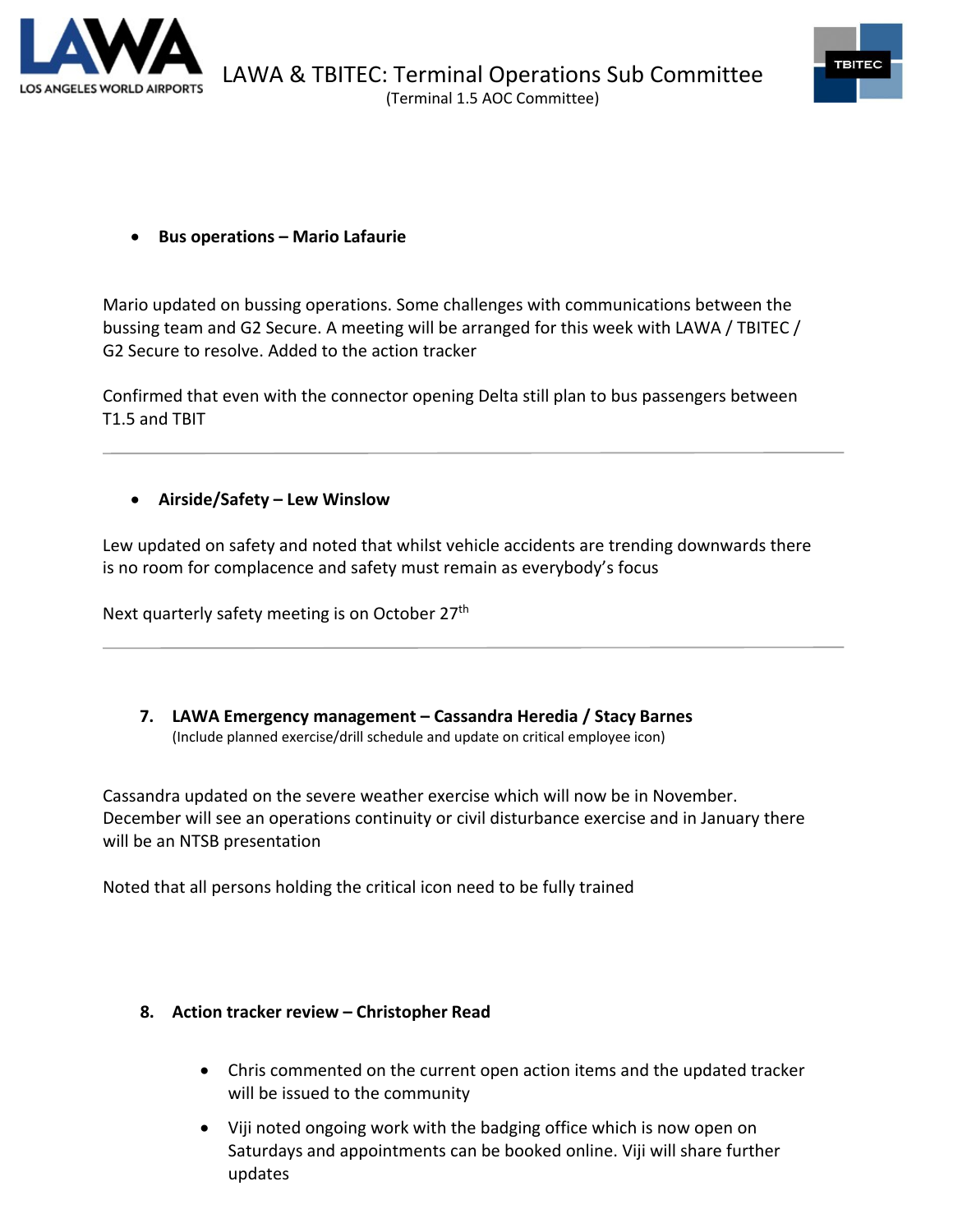



## • **Bus operations – Mario Lafaurie**

Mario updated on bussing operations. Some challenges with communications between the bussing team and G2 Secure. A meeting will be arranged for this week with LAWA / TBITEC / G2 Secure to resolve. Added to the action tracker

Confirmed that even with the connector opening Delta still plan to bus passengers between T1.5 and TBIT

#### • **Airside/Safety – Lew Winslow**

Lew updated on safety and noted that whilst vehicle accidents are trending downwards there is no room for complacence and safety must remain as everybody's focus

Next quarterly safety meeting is on October 27<sup>th</sup>

**7. LAWA Emergency management – Cassandra Heredia / Stacy Barnes** (Include planned exercise/drill schedule and update on critical employee icon)

Cassandra updated on the severe weather exercise which will now be in November. December will see an operations continuity or civil disturbance exercise and in January there will be an NTSB presentation

Noted that all persons holding the critical icon need to be fully trained

#### **8. Action tracker review – Christopher Read**

- Chris commented on the current open action items and the updated tracker will be issued to the community
- Viji noted ongoing work with the badging office which is now open on Saturdays and appointments can be booked online. Viji will share further updates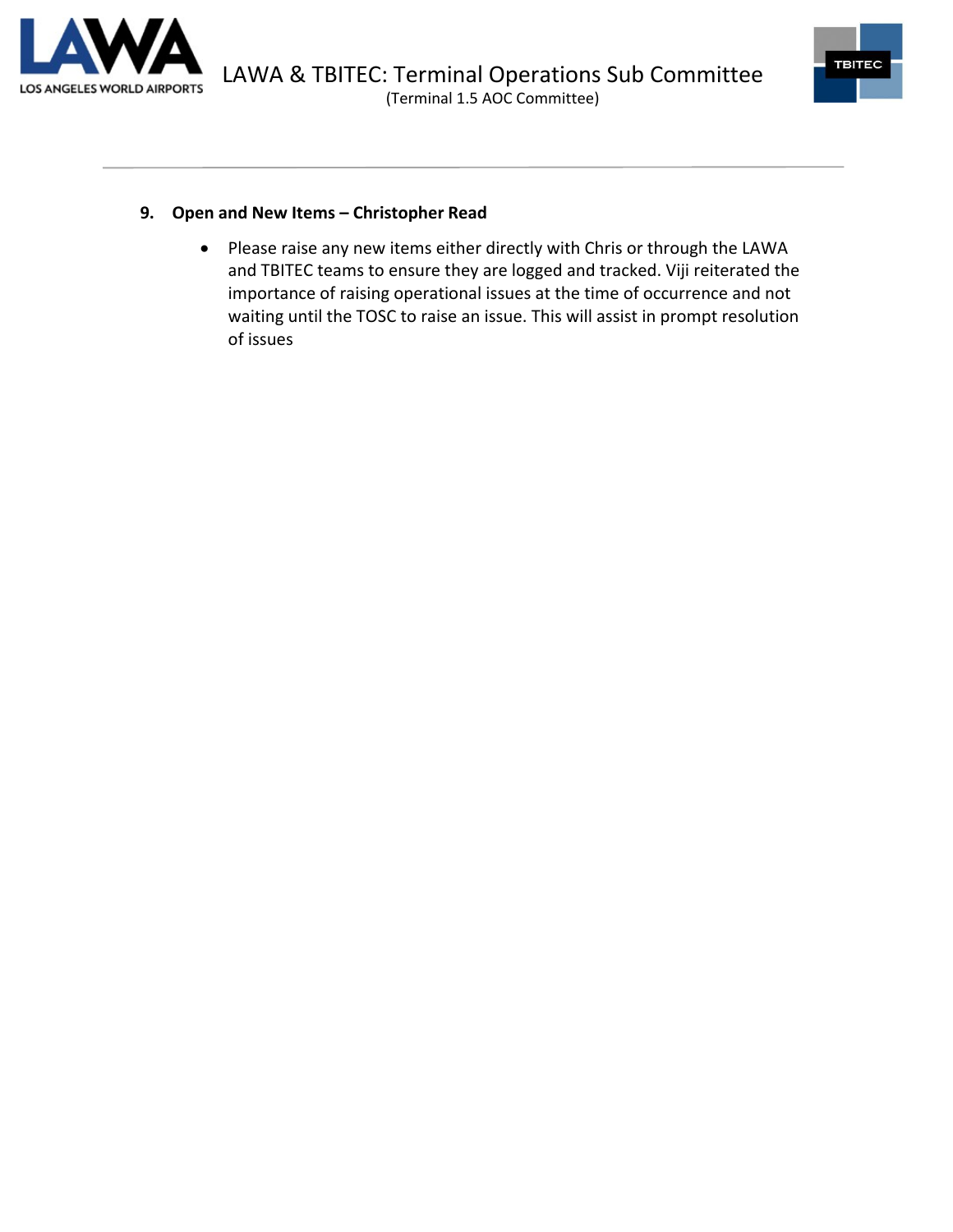



#### **9. Open and New Items – Christopher Read**

• Please raise any new items either directly with Chris or through the LAWA and TBITEC teams to ensure they are logged and tracked. Viji reiterated the importance of raising operational issues at the time of occurrence and not waiting until the TOSC to raise an issue. This will assist in prompt resolution of issues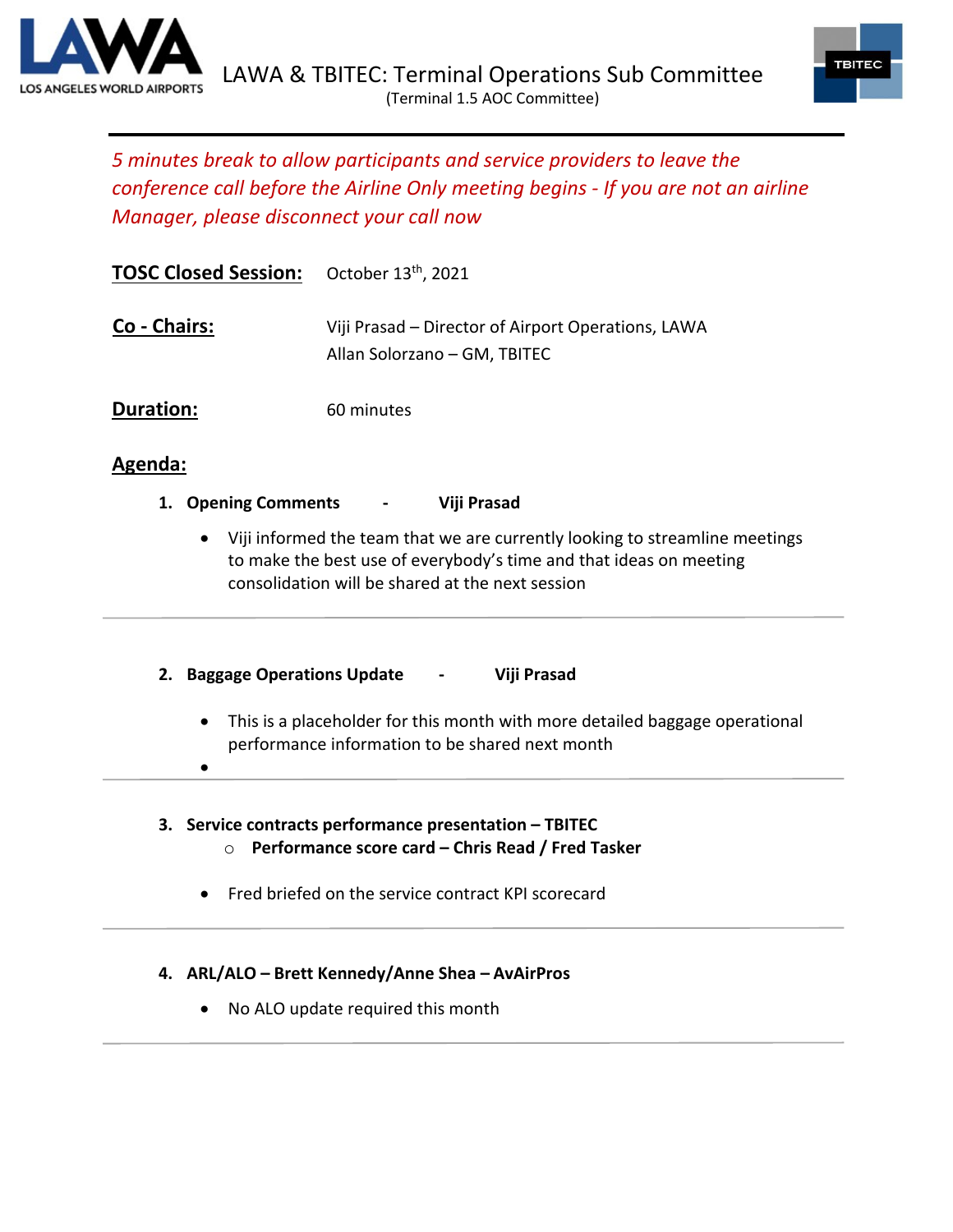



# *5 minutes break to allow participants and service providers to leave the conference call before the Airline Only meeting begins - If you are not an airline Manager, please disconnect your call now*

| <b>TOSC Closed Session:</b> October 13th, 2021 |                                                                                    |
|------------------------------------------------|------------------------------------------------------------------------------------|
| Co - Chairs:                                   | Viji Prasad – Director of Airport Operations, LAWA<br>Allan Solorzano – GM, TBITEC |
| Duration:                                      | 60 minutes                                                                         |

# **Agenda:**

- **1. Opening Comments - Viji Prasad**
	- Viji informed the team that we are currently looking to streamline meetings to make the best use of everybody's time and that ideas on meeting consolidation will be shared at the next session

#### **2. Baggage Operations Update - Viji Prasad**

- This is a placeholder for this month with more detailed baggage operational performance information to be shared next month
- •
- **3. Service contracts performance presentation – TBITEC** o **Performance score card – Chris Read / Fred Tasker**
	- Fred briefed on the service contract KPI scorecard

## **4. ARL/ALO – Brett Kennedy/Anne Shea – AvAirPros**

• No ALO update required this month